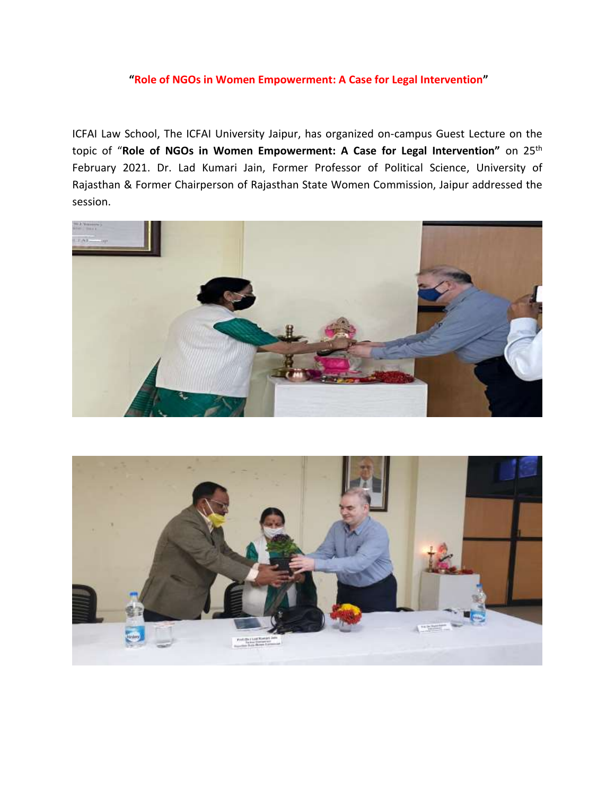## **"Role of NGOs in Women Empowerment: A Case for Legal Intervention"**

ICFAI Law School, The ICFAI University Jaipur, has organized on-campus Guest Lecture on the topic of "**Role of NGOs in Women Empowerment: A Case for Legal Intervention"** on 25th February 2021. Dr. Lad Kumari Jain, Former Professor of Political Science, University of Rajasthan & Former Chairperson of Rajasthan State Women Commission, Jaipur addressed the session.



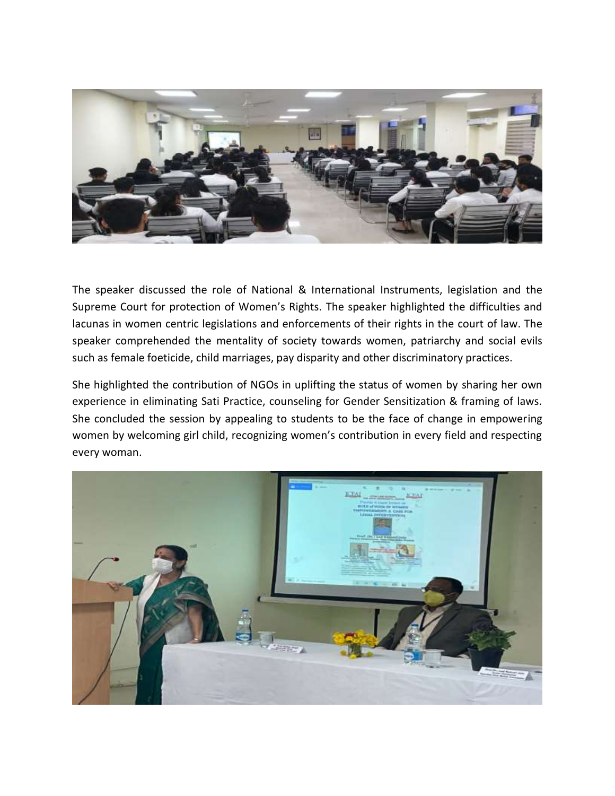

The speaker discussed the role of National & International Instruments, legislation and the Supreme Court for protection of Women's Rights. The speaker highlighted the difficulties and lacunas in women centric legislations and enforcements of their rights in the court of law. The speaker comprehended the mentality of society towards women, patriarchy and social evils such as female foeticide, child marriages, pay disparity and other discriminatory practices.

She highlighted the contribution of NGOs in uplifting the status of women by sharing her own experience in eliminating Sati Practice, counseling for Gender Sensitization & framing of laws. She concluded the session by appealing to students to be the face of change in empowering women by welcoming girl child, recognizing women's contribution in every field and respecting every woman.